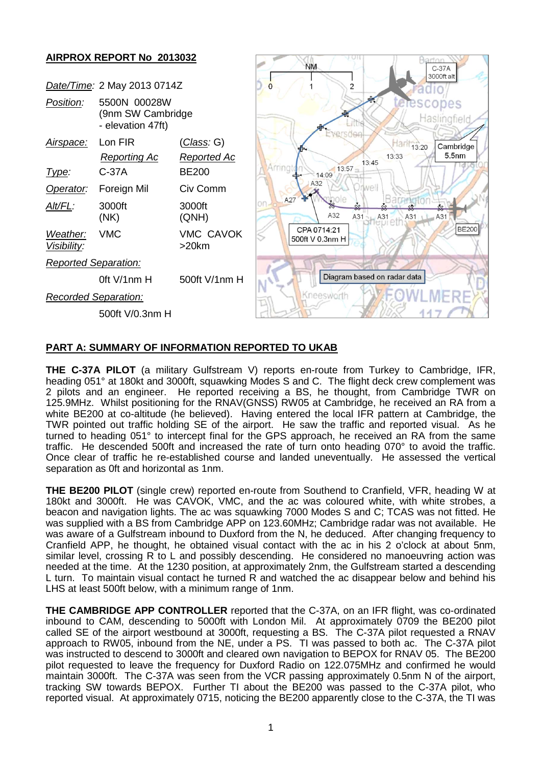

## **PART A: SUMMARY OF INFORMATION REPORTED TO UKAB**

**THE C-37A PILOT** (a military Gulfstream V) reports en-route from Turkey to Cambridge, IFR, heading 051° at 180kt and 3000ft, squawking Modes S and C. The flight deck crew complement was 2 pilots and an engineer. He reported receiving a BS, he thought, from Cambridge TWR on 125.9MHz. Whilst positioning for the RNAV(GNSS) RW05 at Cambridge, he received an RA from a white BE200 at co-altitude (he believed). Having entered the local IFR pattern at Cambridge, the TWR pointed out traffic holding SE of the airport. He saw the traffic and reported visual. As he turned to heading 051° to intercept final for the GPS approach, he received an RA from the same traffic. He descended 500ft and increased the rate of turn onto heading 070° to avoid the traffic. Once clear of traffic he re-established course and landed uneventually. He assessed the vertical separation as 0ft and horizontal as 1nm.

**THE BE200 PILOT** (single crew) reported en-route from Southend to Cranfield, VFR, heading W at 180kt and 3000ft. He was CAVOK, VMC, and the ac was coloured white, with white strobes, a beacon and navigation lights. The ac was squawking 7000 Modes S and C; TCAS was not fitted. He was supplied with a BS from Cambridge APP on 123.60MHz; Cambridge radar was not available. He was aware of a Gulfstream inbound to Duxford from the N, he deduced. After changing frequency to Cranfield APP, he thought, he obtained visual contact with the ac in his 2 o'clock at about 5nm, similar level, crossing R to L and possibly descending. He considered no manoeuvring action was needed at the time. At the 1230 position, at approximately 2nm, the Gulfstream started a descending L turn. To maintain visual contact he turned R and watched the ac disappear below and behind his LHS at least 500ft below, with a minimum range of 1nm.

**THE CAMBRIDGE APP CONTROLLER** reported that the C-37A, on an IFR flight, was co-ordinated inbound to CAM, descending to 5000ft with London Mil. At approximately 0709 the BE200 pilot called SE of the airport westbound at 3000ft, requesting a BS. The C-37A pilot requested a RNAV approach to RW05, inbound from the NE, under a PS. TI was passed to both ac. The C-37A pilot was instructed to descend to 3000ft and cleared own navigation to BEPOX for RNAV 05. The BE200 pilot requested to leave the frequency for Duxford Radio on 122.075MHz and confirmed he would maintain 3000ft. The C-37A was seen from the VCR passing approximately 0.5nm N of the airport, tracking SW towards BEPOX. Further TI about the BE200 was passed to the C-37A pilot, who reported visual. At approximately 0715, noticing the BE200 apparently close to the C-37A, the TI was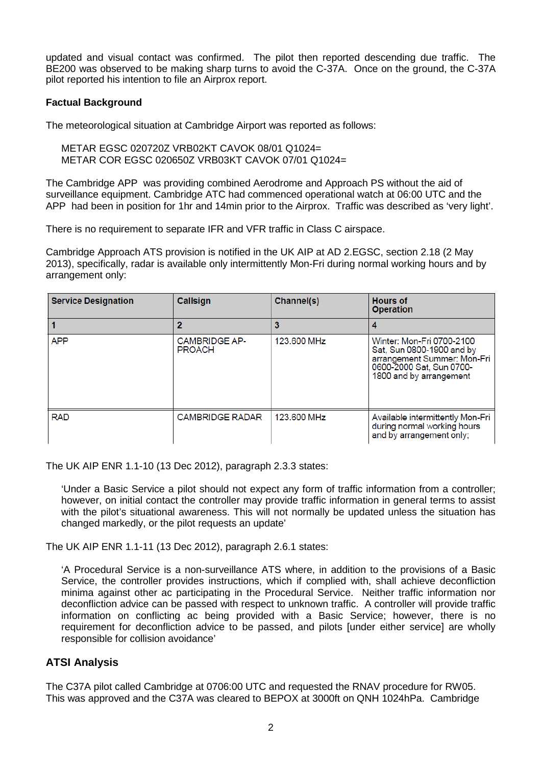updated and visual contact was confirmed. The pilot then reported descending due traffic. The BE200 was observed to be making sharp turns to avoid the C-37A. Once on the ground, the C-37A pilot reported his intention to file an Airprox report.

### **Factual Background**

The meteorological situation at Cambridge Airport was reported as follows:

METAR EGSC 020720Z VRB02KT CAVOK 08/01 Q1024= METAR COR EGSC 020650Z VRB03KT CAVOK 07/01 Q1024=

The Cambridge APP was providing combined Aerodrome and Approach PS without the aid of surveillance equipment. Cambridge ATC had commenced operational watch at 06:00 UTC and the APP had been in position for 1hr and 14min prior to the Airprox. Traffic was described as 'very light'.

There is no requirement to separate IFR and VFR traffic in Class C airspace.

Cambridge Approach ATS provision is notified in the UK AIP at AD 2.EGSC, section 2.18 (2 May 2013), specifically, radar is available only intermittently Mon-Fri during normal working hours and by arrangement only:

| <b>Service Designation</b> | Callsign                              | Channel(s)  | <b>Hours of</b><br><b>Operation</b>                                                                                                          |
|----------------------------|---------------------------------------|-------------|----------------------------------------------------------------------------------------------------------------------------------------------|
|                            |                                       | 3           |                                                                                                                                              |
| <b>APP</b>                 | <b>CAMBRIDGE AP-</b><br><b>PROACH</b> | 123,600 MHz | Winter: Mon-Fri 0700-2100<br>Sat, Sun 0800-1900 and by<br>arrangement Summer: Mon-Fri<br>0600-2000 Sat, Sun 0700-<br>1800 and by arrangement |
| <b>RAD</b>                 | <b>CAMBRIDGE RADAR</b>                | 123,600 MHz | Available intermittently Mon-Fri<br>during normal working hours<br>and by arrangement only;                                                  |

The UK AIP ENR 1.1-10 (13 Dec 2012), paragraph 2.3.3 states:

'Under a Basic Service a pilot should not expect any form of traffic information from a controller; however, on initial contact the controller may provide traffic information in general terms to assist with the pilot's situational awareness. This will not normally be updated unless the situation has changed markedly, or the pilot requests an update'

The UK AIP ENR 1.1-11 (13 Dec 2012), paragraph 2.6.1 states:

'A Procedural Service is a non-surveillance ATS where, in addition to the provisions of a Basic Service, the controller provides instructions, which if complied with, shall achieve deconfliction minima against other ac participating in the Procedural Service. Neither traffic information nor deconfliction advice can be passed with respect to unknown traffic. A controller will provide traffic information on conflicting ac being provided with a Basic Service; however, there is no requirement for deconfliction advice to be passed, and pilots [under either service] are wholly responsible for collision avoidance'

# **ATSI Analysis**

The C37A pilot called Cambridge at 0706:00 UTC and requested the RNAV procedure for RW05. This was approved and the C37A was cleared to BEPOX at 3000ft on QNH 1024hPa. Cambridge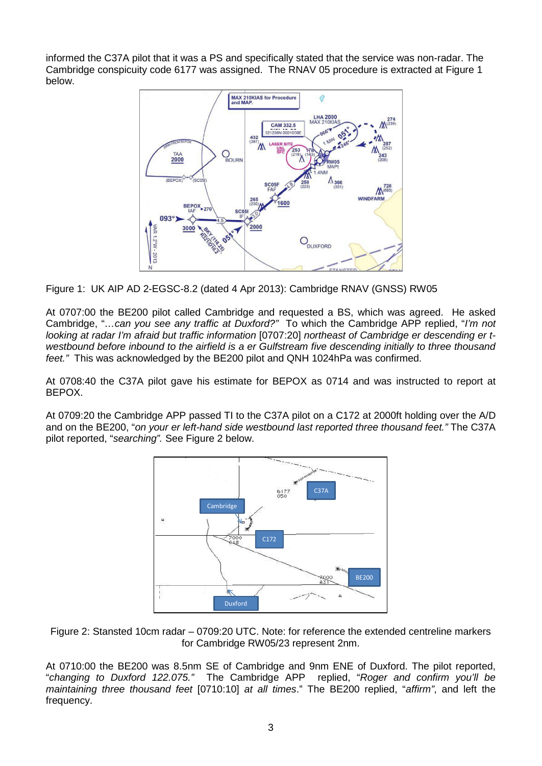informed the C37A pilot that it was a PS and specifically stated that the service was non-radar. The Cambridge conspicuity code 6177 was assigned. The RNAV 05 procedure is extracted at Figure 1 below.



Figure 1: UK AIP AD 2-EGSC-8.2 (dated 4 Apr 2013): Cambridge RNAV (GNSS) RW05

At 0707:00 the BE200 pilot called Cambridge and requested a BS, which was agreed. He asked Cambridge, "*…can you see any traffic at Duxford?"* To which the Cambridge APP replied, "*I'm not looking at radar I'm afraid but traffic information* [0707:20] *northeast of Cambridge er descending er twestbound before inbound to the airfield is a er Gulfstream five descending initially to three thousand feet."* This was acknowledged by the BE200 pilot and QNH 1024hPa was confirmed.

At 0708:40 the C37A pilot gave his estimate for BEPOX as 0714 and was instructed to report at BEPOX.

At 0709:20 the Cambridge APP passed TI to the C37A pilot on a C172 at 2000ft holding over the A/D and on the BE200, "*on your er left-hand side westbound last reported three thousand feet."* The C37A pilot reported, "*searching".* See Figure 2 below.



Figure 2: Stansted 10cm radar – 0709:20 UTC. Note: for reference the extended centreline markers for Cambridge RW05/23 represent 2nm.

At 0710:00 the BE200 was 8.5nm SE of Cambridge and 9nm ENE of Duxford. The pilot reported, "*changing to Duxford 122.075."* The Cambridge APP replied, "*Roger and confirm you'll be maintaining three thousand feet* [0710:10] *at all times*." The BE200 replied, "*affirm"*, and left the frequency.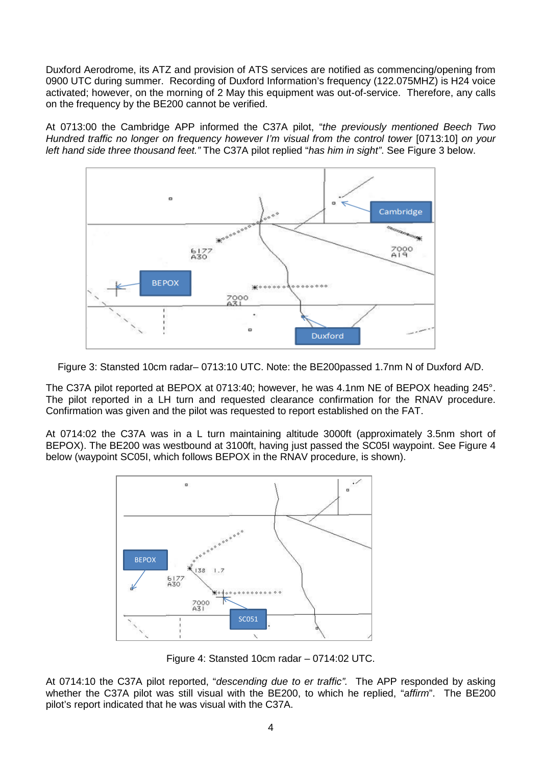Duxford Aerodrome, its ATZ and provision of ATS services are notified as commencing/opening from 0900 UTC during summer. Recording of Duxford Information's frequency (122.075MHZ) is H24 voice activated; however, on the morning of 2 May this equipment was out-of-service. Therefore, any calls on the frequency by the BE200 cannot be verified.

At 0713:00 the Cambridge APP informed the C37A pilot, "*the previously mentioned Beech Two Hundred traffic no longer on frequency however I'm visual from the control tower* [0713:10] *on your left hand side three thousand feet."* The C37A pilot replied "*has him in sight"*. See Figure 3 below.



Figure 3: Stansted 10cm radar– 0713:10 UTC. Note: the BE200passed 1.7nm N of Duxford A/D.

The C37A pilot reported at BEPOX at 0713:40; however, he was 4.1nm NE of BEPOX heading 245°. The pilot reported in a LH turn and requested clearance confirmation for the RNAV procedure. Confirmation was given and the pilot was requested to report established on the FAT.

At 0714:02 the C37A was in a L turn maintaining altitude 3000ft (approximately 3.5nm short of BEPOX). The BE200 was westbound at 3100ft, having just passed the SC05I waypoint. See Figure 4 below (waypoint SC05I, which follows BEPOX in the RNAV procedure, is shown).



Figure 4: Stansted 10cm radar – 0714:02 UTC.

At 0714:10 the C37A pilot reported, "*descending due to er traffic".* The APP responded by asking whether the C37A pilot was still visual with the BE200, to which he replied, "*affirm*". The BE200 pilot's report indicated that he was visual with the C37A.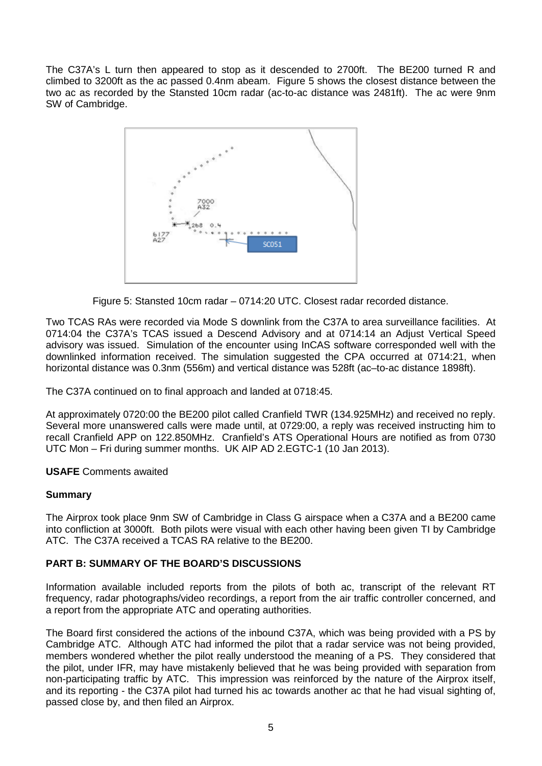The C37A's L turn then appeared to stop as it descended to 2700ft. The BE200 turned R and climbed to 3200ft as the ac passed 0.4nm abeam. Figure 5 shows the closest distance between the two ac as recorded by the Stansted 10cm radar (ac-to-ac distance was 2481ft). The ac were 9nm SW of Cambridge.



Figure 5: Stansted 10cm radar – 0714:20 UTC. Closest radar recorded distance.

Two TCAS RAs were recorded via Mode S downlink from the C37A to area surveillance facilities. At 0714:04 the C37A's TCAS issued a Descend Advisory and at 0714:14 an Adjust Vertical Speed advisory was issued. Simulation of the encounter using InCAS software corresponded well with the downlinked information received. The simulation suggested the CPA occurred at 0714:21, when horizontal distance was 0.3nm (556m) and vertical distance was 528ft (ac–to-ac distance 1898ft).

The C37A continued on to final approach and landed at 0718:45.

At approximately 0720:00 the BE200 pilot called Cranfield TWR (134.925MHz) and received no reply. Several more unanswered calls were made until, at 0729:00, a reply was received instructing him to recall Cranfield APP on 122.850MHz. Cranfield's ATS Operational Hours are notified as from 0730 UTC Mon – Fri during summer months. UK AIP AD 2.EGTC-1 (10 Jan 2013).

### **USAFE** Comments awaited

### **Summary**

The Airprox took place 9nm SW of Cambridge in Class G airspace when a C37A and a BE200 came into confliction at 3000ft. Both pilots were visual with each other having been given TI by Cambridge ATC. The C37A received a TCAS RA relative to the BE200.

# **PART B: SUMMARY OF THE BOARD'S DISCUSSIONS**

Information available included reports from the pilots of both ac, transcript of the relevant RT frequency, radar photographs/video recordings, a report from the air traffic controller concerned, and a report from the appropriate ATC and operating authorities.

The Board first considered the actions of the inbound C37A, which was being provided with a PS by Cambridge ATC. Although ATC had informed the pilot that a radar service was not being provided, members wondered whether the pilot really understood the meaning of a PS. They considered that the pilot, under IFR, may have mistakenly believed that he was being provided with separation from non-participating traffic by ATC. This impression was reinforced by the nature of the Airprox itself, and its reporting - the C37A pilot had turned his ac towards another ac that he had visual sighting of, passed close by, and then filed an Airprox.